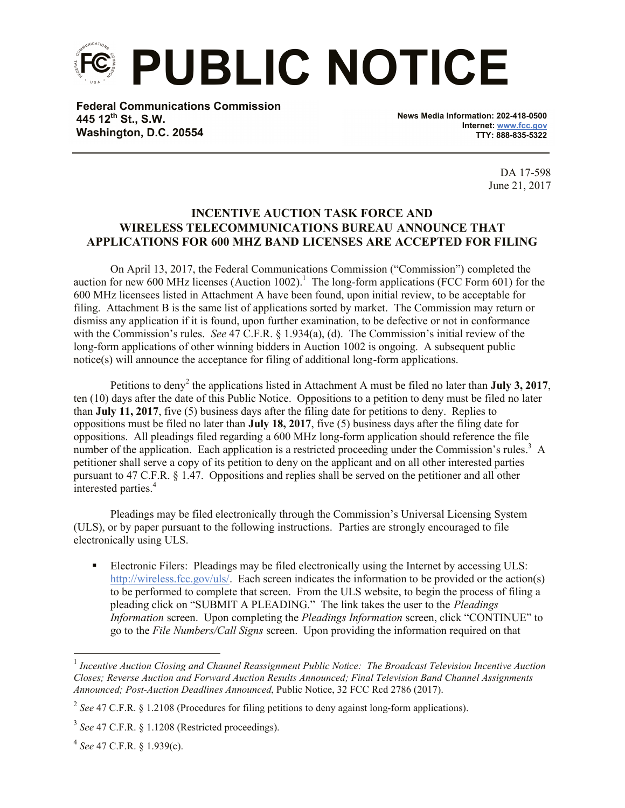**PUBLIC NOTICE**

**Federal Communications Commission 445 12th St., S.W. Washington, D.C. 20554**

**News Media Information: 202-418-0500 Internet: www.fcc.gov TTY: 888-835-5322**

> DA 17-598 June 21, 2017

## **INCENTIVE AUCTION TASK FORCE AND WIRELESS TELECOMMUNICATIONS BUREAU ANNOUNCE THAT APPLICATIONS FOR 600 MHZ BAND LICENSES ARE ACCEPTED FOR FILING**

On April 13, 2017, the Federal Communications Commission ("Commission") completed the auction for new 600 MHz licenses (Auction 1002).<sup>1</sup> The long-form applications (FCC Form 601) for the 600 MHz licensees listed in Attachment A have been found, upon initial review, to be acceptable for filing. Attachment B is the same list of applications sorted by market. The Commission may return or dismiss any application if it is found, upon further examination, to be defective or not in conformance with the Commission's rules. *See* 47 C.F.R. § 1.934(a), (d). The Commission's initial review of the long-form applications of other winning bidders in Auction 1002 is ongoing. A subsequent public notice(s) will announce the acceptance for filing of additional long-form applications.

Petitions to deny<sup>2</sup> the applications listed in Attachment A must be filed no later than **July** 3, 2017, ten (10) days after the date of this Public Notice. Oppositions to a petition to deny must be filed no later than **July 11, 2017**, five (5) business days after the filing date for petitions to deny. Replies to oppositions must be filed no later than **July 18, 2017**, five (5) business days after the filing date for oppositions. All pleadings filed regarding a 600 MHz long-form application should reference the file number of the application. Each application is a restricted proceeding under the Commission's rules.<sup>3</sup> A petitioner shall serve a copy of its petition to deny on the applicant and on all other interested parties pursuant to 47 C.F.R. § 1.47. Oppositions and replies shall be served on the petitioner and all other interested parties.<sup>4</sup>

Pleadings may be filed electronically through the Commission's Universal Licensing System (ULS), or by paper pursuant to the following instructions. Parties are strongly encouraged to file electronically using ULS.

 Electronic Filers: Pleadings may be filed electronically using the Internet by accessing ULS: http://wireless.fcc.gov/uls/. Each screen indicates the information to be provided or the action(s) to be performed to complete that screen. From the ULS website, to begin the process of filing a pleading click on "SUBMIT A PLEADING." The link takes the user to the *Pleadings Information* screen. Upon completing the *Pleadings Information* screen, click "CONTINUE" to go to the *File Numbers/Call Signs* screen. Upon providing the information required on that

l

<sup>&</sup>lt;sup>1</sup> Incentive Auction Closing and Channel Reassignment Public Notice: The Broadcast Television Incentive Auction *Closes; Reverse Auction and Forward Auction Results Announced; Final Television Band Channel Assignments Announced; Post-Auction Deadlines Announced*, Public Notice, 32 FCC Rcd 2786 (2017).

<sup>&</sup>lt;sup>2</sup> See 47 C.F.R. § 1.2108 (Procedures for filing petitions to deny against long-form applications).

<sup>3</sup> *See* 47 C.F.R. § 1.1208 (Restricted proceedings).

<sup>4</sup> *See* 47 C.F.R. § 1.939(c).